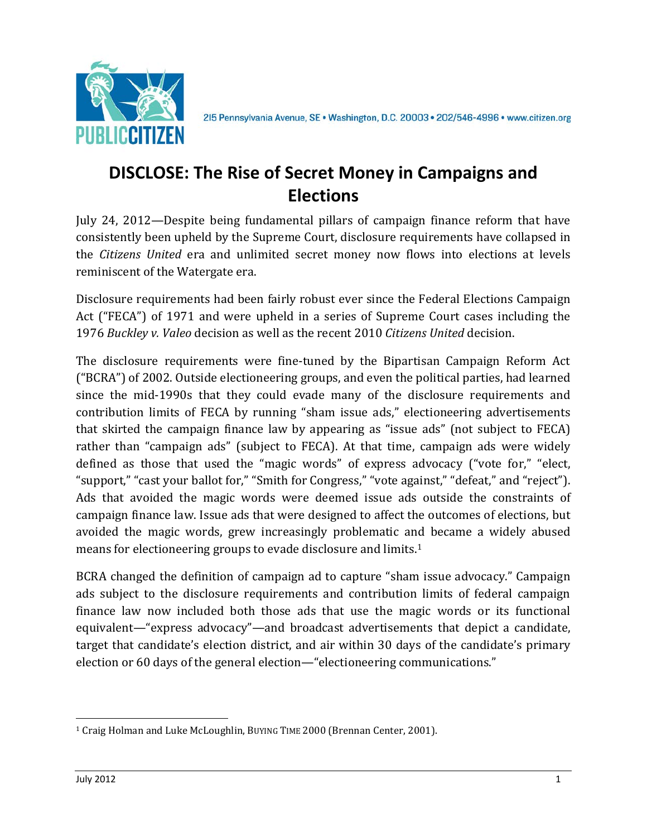

## **DISCLOSE: The Rise of Secret Money in Campaigns and Elections**

July 24, 2012—Despite being fundamental pillars of campaign finance reform that have consistently been upheld by the Supreme Court, disclosure requirements have collapsed in the *Citizens United* era and unlimited secret money now flows into elections at levels reminiscent of the Watergate era.

Disclosure requirements had been fairly robust ever since the Federal Elections Campaign Act ("FECA") of 1971 and were upheld in a series of Supreme Court cases including the 1976 *Buckley v. Valeo* decision as well as the recent 2010 *Citizens United* decision.

The disclosure requirements were fine-tuned by the Bipartisan Campaign Reform Act ("BCRA") of 2002. Outside electioneering groups, and even the political parties, had learned since the mid-1990s that they could evade many of the disclosure requirements and contribution limits of FECA by running "sham issue ads," electioneering advertisements that skirted the campaign finance law by appearing as "issue ads" (not subject to FECA) rather than "campaign ads" (subject to FECA). At that time, campaign ads were widely defined as those that used the "magic words" of express advocacy ("vote for," "elect, "support," "cast your ballot for," "Smith for Congress," "vote against," "defeat," and "reject"). Ads that avoided the magic words were deemed issue ads outside the constraints of campaign finance law. Issue ads that were designed to affect the outcomes of elections, but avoided the magic words, grew increasingly problematic and became a widely abused means for electioneering groups to evade disclosure and limits.[1](#page-0-0)

BCRA changed the definition of campaign ad to capture "sham issue advocacy." Campaign ads subject to the disclosure requirements and contribution limits of federal campaign finance law now included both those ads that use the magic words or its functional equivalent—"express advocacy"—and broadcast advertisements that depict a candidate, target that candidate's election district, and air within 30 days of the candidate's primary election or 60 days of the general election—"electioneering communications."

<span id="page-0-0"></span> <sup>1</sup> Craig Holman and Luke McLoughlin, BUYING TIME 2000 (Brennan Center, 2001).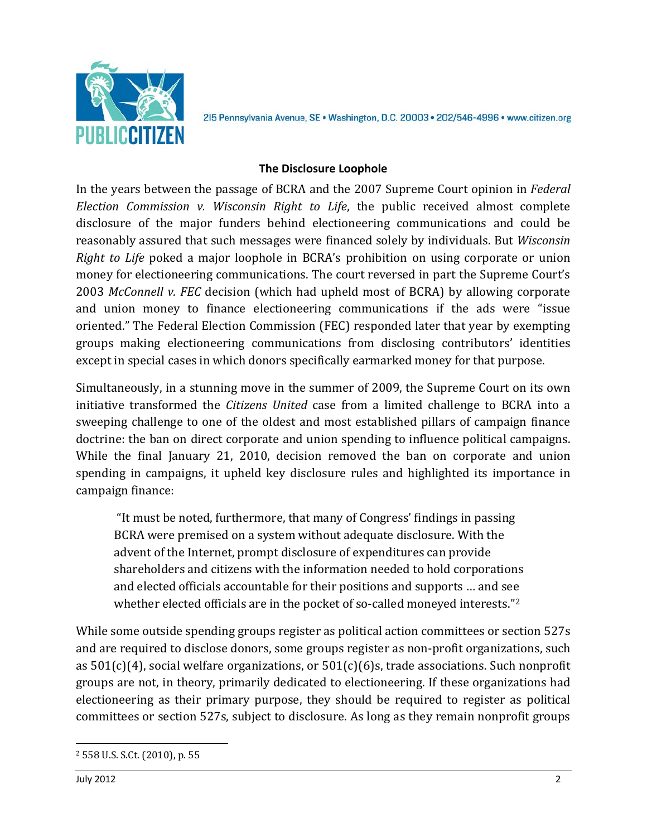

## **The Disclosure Loophole**

In the years between the passage of BCRA and the 2007 Supreme Court opinion in *Federal Election Commission v. Wisconsin Right to Life*, the public received almost complete disclosure of the major funders behind electioneering communications and could be reasonably assured that such messages were financed solely by individuals. But *Wisconsin Right to Life* poked a major loophole in BCRA's prohibition on using corporate or union money for electioneering communications. The court reversed in part the Supreme Court's 2003 *McConnell v. FEC* decision (which had upheld most of BCRA) by allowing corporate and union money to finance electioneering communications if the ads were "issue oriented." The Federal Election Commission (FEC) responded later that year by exempting groups making electioneering communications from disclosing contributors' identities except in special cases in which donors specifically earmarked money for that purpose.

Simultaneously, in a stunning move in the summer of 2009, the Supreme Court on its own initiative transformed the *Citizens United* case from a limited challenge to BCRA into a sweeping challenge to one of the oldest and most established pillars of campaign finance doctrine: the ban on direct corporate and union spending to influence political campaigns. While the final January 21, 2010, decision removed the ban on corporate and union spending in campaigns, it upheld key disclosure rules and highlighted its importance in campaign finance:

"It must be noted, furthermore, that many of Congress' findings in passing BCRA were premised on a system without adequate disclosure. With the advent of the Internet, prompt disclosure of expenditures can provide shareholders and citizens with the information needed to hold corporations and elected officials accountable for their positions and supports … and see whether elected officials are in the pocket of so-called moneyed interests."<sup>[2](#page-1-0)</sup>

While some outside spending groups register as political action committees or section 527s and are required to disclose donors, some groups register as non-profit organizations, such as 501(c)(4), social welfare organizations, or 501(c)(6)s, trade associations. Such nonprofit groups are not, in theory, primarily dedicated to electioneering. If these organizations had electioneering as their primary purpose, they should be required to register as political committees or section 527s, subject to disclosure. As long as they remain nonprofit groups

<span id="page-1-0"></span> <sup>2</sup> 558 U.S. S.Ct. (2010), p. 55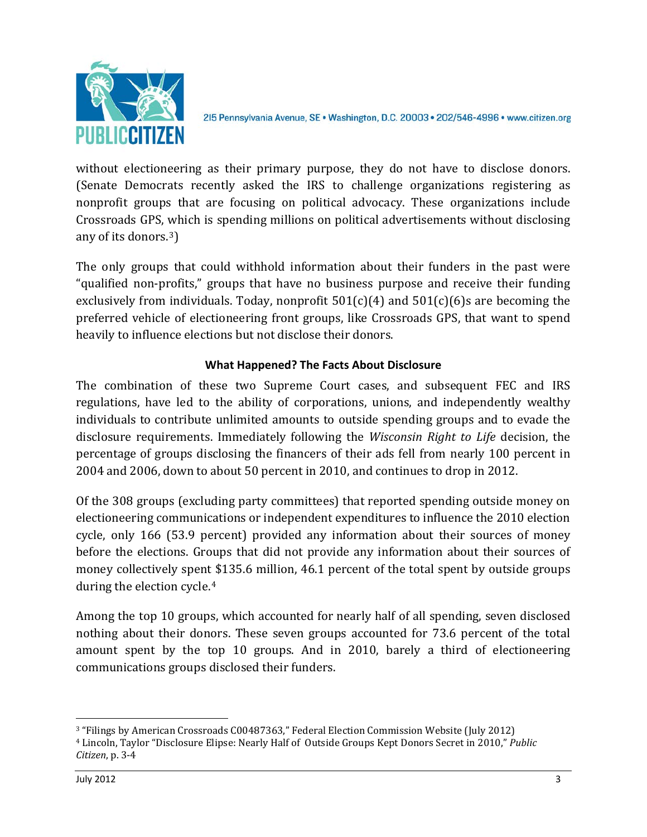

without electioneering as their primary purpose, they do not have to disclose donors. (Senate Democrats recently asked the IRS to challenge organizations registering as nonprofit groups that are focusing on political advocacy. These organizations include Crossroads GPS, which is spending millions on political advertisements without disclosing any of its donors.[3\)](#page-2-0)

The only groups that could withhold information about their funders in the past were "qualified non-profits," groups that have no business purpose and receive their funding exclusively from individuals. Today, nonprofit  $501(c)(4)$  and  $501(c)(6)$ s are becoming the preferred vehicle of electioneering front groups, like Crossroads GPS, that want to spend heavily to influence elections but not disclose their donors.

## **What Happened? The Facts About Disclosure**

The combination of these two Supreme Court cases, and subsequent FEC and IRS regulations, have led to the ability of corporations, unions, and independently wealthy individuals to contribute unlimited amounts to outside spending groups and to evade the disclosure requirements. Immediately following the *Wisconsin Right to Life* decision, the percentage of groups disclosing the financers of their ads fell from nearly 100 percent in 2004 and 2006, down to about 50 percent in 2010, and continues to drop in 2012.

Of the 308 groups (excluding party committees) that reported spending outside money on electioneering communications or independent expenditures to influence the 2010 election cycle, only 166 (53.9 percent) provided any information about their sources of money before the elections. Groups that did not provide any information about their sources of money collectively spen[t \\$](#page-2-1)135.6 million, 46.1 percent of the total spent by outside groups during the election cycle.4

Among the top 10 groups, which accounted for nearly half of all spending, seven disclosed nothing about their donors. These seven groups accounted for 73.6 percent of the total amount spent by the top 10 groups. And in 2010, barely a third of electioneering communications groups disclosed their funders.

<span id="page-2-0"></span> <sup>3</sup> "Filings by American Crossroads C00487363," Federal Election Commission Website (July 2012)

<span id="page-2-1"></span><sup>4</sup> Lincoln, Taylor "Disclosure Elipse: Nearly Half of Outside Groups Kept Donors Secret in 2010," *Public Citizen*, p. 3-4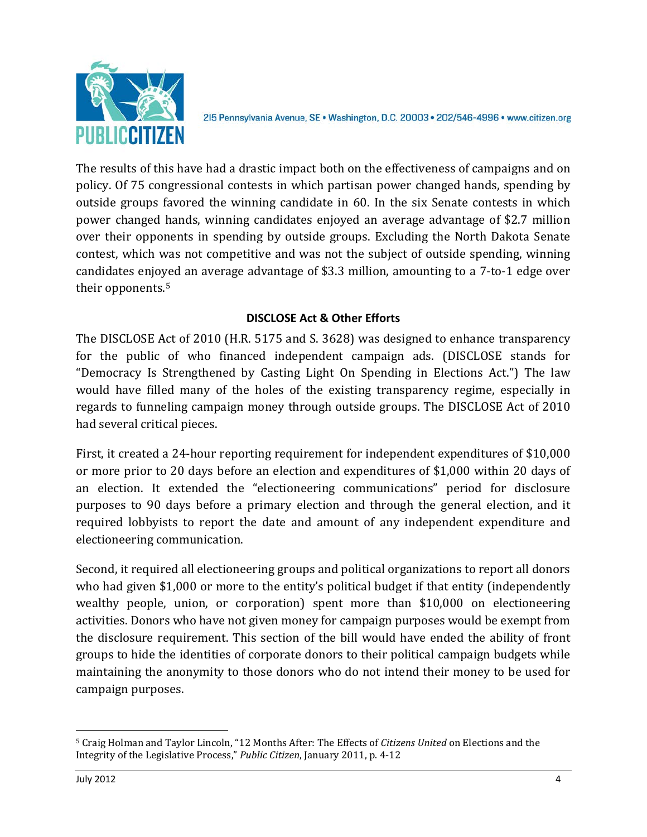

The results of this have had a drastic impact both on the effectiveness of campaigns and on policy. Of 75 congressional contests in which partisan power changed hands, spending by outside groups favored the winning candidate in 60. In the six Senate contests in which power changed hands, winning candidates enjoyed an average advantage of \$2.7 million over their opponents in spending by outside groups. Excluding the North Dakota Senate contest, which was not competitive and was not the subject of outside spending, winning candidates enjoyed an average advantage of \$3.3 million, amounting to a 7-to-1 edge over their opponents.[5](#page-3-0)

## **DISCLOSE Act & Other Efforts**

The DISCLOSE Act of 2010 (H.R. 5175 and S. 3628) was designed to enhance transparency for the public of who financed independent campaign ads. (DISCLOSE stands for "Democracy Is Strengthened by Casting Light On Spending in Elections Act.") The law would have filled many of the holes of the existing transparency regime, especially in regards to funneling campaign money through outside groups. The DISCLOSE Act of 2010 had several critical pieces.

First, it created a 24-hour reporting requirement for independent expenditures of \$10,000 or more prior to 20 days before an election and expenditures of \$1,000 within 20 days of an election. It extended the "electioneering communications" period for disclosure purposes to 90 days before a primary election and through the general election, and it required lobbyists to report the date and amount of any independent expenditure and electioneering communication.

Second, it required all electioneering groups and political organizations to report all donors who had given \$1,000 or more to the entity's political budget if that entity (independently wealthy people, union, or corporation) spent more than \$10,000 on electioneering activities. Donors who have not given money for campaign purposes would be exempt from the disclosure requirement. This section of the bill would have ended the ability of front groups to hide the identities of corporate donors to their political campaign budgets while maintaining the anonymity to those donors who do not intend their money to be used for campaign purposes.

<span id="page-3-0"></span> <sup>5</sup> Craig Holman and Taylor Lincoln, "12 Months After: The Effects of *Citizens United* on Elections and the Integrity of the Legislative Process," *Public Citizen*, January 2011, p. 4-12